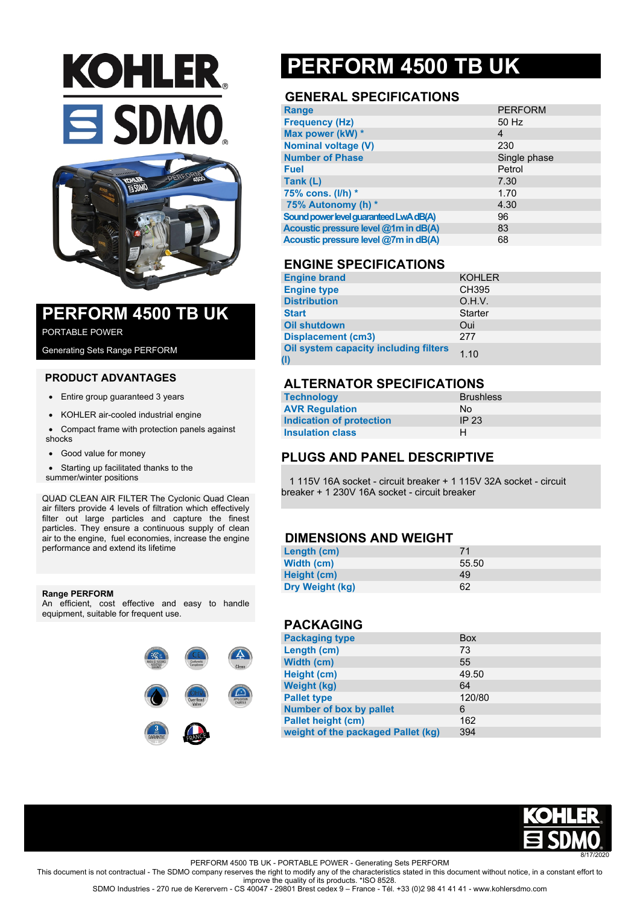# **KOHLER** SDMO



### **PERFORM 4500 TB UK**

PORTABLE POWER

Generating Sets Range PERFORM

#### **PRODUCT ADVANTAGES**

- Entire group guaranteed 3 years
- KOHLER air-cooled industrial engine
- Compact frame with protection panels against shocks
- Good value for money

• Starting up facilitated thanks to the summer/winter positions

QUAD CLEAN AIR FILTER The Cyclonic Quad Clean air filters provide 4 levels of filtration which effectively filter out large particles and capture the finest particles. They ensure a continuous supply of clean air to the engine, fuel economies, increase the engine performance and extend its lifetime

#### **Range PERFORM**

An efficient, cost effective and easy to handle equipment, suitable for frequent use.



## **PERFORM 4500 TB UK**

#### **GENERAL SPECIFICATIONS**

| <b>Range</b>                           | <b>PERFORM</b> |
|----------------------------------------|----------------|
| <b>Frequency (Hz)</b>                  | 50 Hz          |
| Max power (kW) *                       | 4              |
| <b>Nominal voltage (V)</b>             | 230            |
| <b>Number of Phase</b>                 | Single phase   |
| <b>Fuel</b>                            | Petrol         |
| Tank (L)                               | 7.30           |
| 75% cons. (I/h) *                      | 1.70           |
| 75% Autonomy (h) *                     | 4.30           |
| Sound power level guaranteed LwA dB(A) | 96             |
| Acoustic pressure level @1m in dB(A)   | 83             |
| Acoustic pressure level @7m in dB(A)   | 68             |

#### **ENGINE SPECIFICATIONS**

| <b>Engine brand</b>                          | <b>KOHLER</b>  |
|----------------------------------------------|----------------|
| <b>Engine type</b>                           | <b>CH395</b>   |
| <b>Distribution</b>                          | O.H.V.         |
| <b>Start</b>                                 | <b>Starter</b> |
| <b>Oil shutdown</b>                          | Oui            |
| <b>Displacement (cm3)</b>                    | 277            |
| Oil system capacity including filters<br>(1) | 1.10           |

#### **ALTERNATOR SPECIFICATIONS**

| <b>Technology</b>        | <b>Brushless</b> |
|--------------------------|------------------|
| <b>AVR Regulation</b>    | No.              |
| Indication of protection | IP 23            |
| <b>Insulation class</b>  | н                |

#### **PLUGS AND PANEL DESCRIPTIVE**

 1 115V 16A socket - circuit breaker + 1 115V 32A socket - circuit breaker + 1 230V 16A socket - circuit breaker

#### **DIMENSIONS AND WEIGHT**

| Length (cm)     |       |
|-----------------|-------|
| Width (cm)      | 55.50 |
| Height (cm)     | 49    |
| Dry Weight (kg) | 62    |

#### **PACKAGING**

| <b>Packaging type</b>              | <b>Box</b> |
|------------------------------------|------------|
| Length (cm)                        | 73         |
| Width (cm)                         | 55         |
| Height (cm)                        | 49.50      |
| <b>Weight (kg)</b>                 | 64         |
| <b>Pallet type</b>                 | 120/80     |
| <b>Number of box by pallet</b>     | 6          |
| <b>Pallet height (cm)</b>          | 162        |
| weight of the packaged Pallet (kg) | 394        |
|                                    |            |



PERFORM 4500 TB UK - PORTABLE POWER - Generating Sets PERFORM

This document is not contractual - The SDMO company reserves the right to modify any of the characteristics stated in this document without notice, in a constant effort to improve the quality of its products. \*ISO 8528.